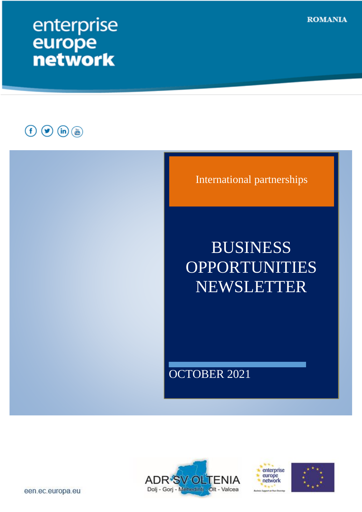# enterprise europe<br>network

 $\begin{picture}(40,40) \put(0,0){\line(1,0){155}} \put(15,0){\line(1,0){155}} \put(15,0){\line(1,0){155}} \put(15,0){\line(1,0){155}} \put(15,0){\line(1,0){155}} \put(15,0){\line(1,0){155}} \put(15,0){\line(1,0){155}} \put(15,0){\line(1,0){155}} \put(15,0){\line(1,0){155}} \put(15,0){\line(1,0){155}} \put(15,0){\line(1,0){155}} \$ 









**ROMANIA** 

een.ec.europa.eu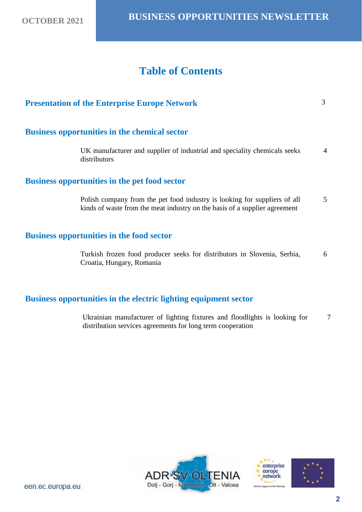## **Table of Contents**

| <b>Presentation of the Enterprise Europe Network</b>                                                                                                    | 3              |
|---------------------------------------------------------------------------------------------------------------------------------------------------------|----------------|
| <b>Business opportunities in the chemical sector</b>                                                                                                    |                |
| UK manufacturer and supplier of industrial and speciality chemicals seeks<br>distributors                                                               | $\overline{4}$ |
| <b>Business opportunities in the pet food sector</b>                                                                                                    |                |
| Polish company from the pet food industry is looking for suppliers of all<br>kinds of waste from the meat industry on the basis of a supplier agreement | 5              |
| <b>Business opportunities in the food sector</b>                                                                                                        |                |
| Turkish frozen food producer seeks for distributors in Slovenia, Serbia,<br>Croatia, Hungary, Romania                                                   | 6              |
|                                                                                                                                                         |                |

### **Business opportunities in the electric lighting equipment sector**

Ukrainian manufacturer of lighting fixtures and floodlights is looking for distribution services agreements for long term cooperation 7





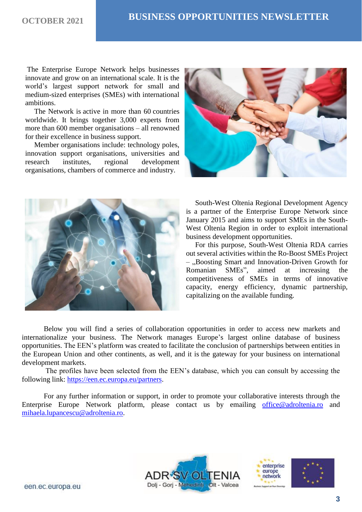The Enterprise Europe Network helps businesses innovate and grow on an international scale. It is the world's largest support network for small and medium-sized enterprises (SMEs) with international ambitions.

 The Network is active in more than 60 countries worldwide. It brings together 3,000 experts from more than 600 member organisations – all renowned for their excellence in business support.

 Member organisations include: technology poles, innovation support organisations, universities and research institutes, regional development organisations, chambers of commerce and industry.





 South-West Oltenia Regional Development Agency is a partner of the Enterprise Europe Network since January 2015 and aims to support SMEs in the South-West Oltenia Region in order to exploit international business development opportunities.

 For this purpose, South-West Oltenia RDA carries out several activities within the Ro-Boost SMEs Project – "Boosting Smart and Innovation-Driven Growth for Romanian SMEs", aimed at increasing the competitiveness of SMEs in terms of innovative capacity, energy efficiency, dynamic partnership, capitalizing on the available funding.

Below you will find a series of collaboration opportunities in order to access new markets and internationalize your business. The Network manages Europe's largest online database of business opportunities. The EEN's platform was created to facilitate the conclusion of partnerships between entities in the European Union and other continents, as well, and it is the gateway for your business on international development markets.

The profiles have been selected from the EEN's database, which you can consult by accessing the following link: [https://een.ec.europa.eu/partners.](https://een.ec.europa.eu/partners)

For any further information or support, in order to promote your collaborative interests through the Enterprise Europe Network platform, please contact us by emailing [office@adroltenia.ro](mailto:office@adroltenia.ro) and [mihaela.lupancescu@adroltenia.ro.](mailto:mihaela.lupancescu@adroltenia.ro)





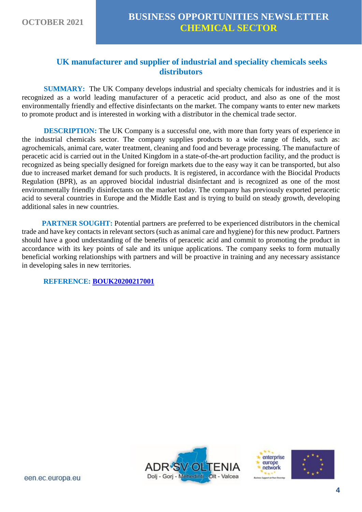#### **UK manufacturer and supplier of industrial and speciality chemicals seeks distributors**

**SUMMARY:** The UK Company develops industrial and specialty chemicals for industries and it is recognized as a world leading manufacturer of a peracetic acid product, and also as one of the most environmentally friendly and effective disinfectants on the market. The company wants to enter new markets to promote product and is interested in working with a distributor in the chemical trade sector.

**DESCRIPTION:** The UK Company is a successful one, with more than forty years of experience in the industrial chemicals sector. The company supplies products to a wide range of fields, such as: agrochemicals, animal care, water treatment, cleaning and food and beverage processing. The manufacture of peracetic acid is carried out in the United Kingdom in a state-of-the-art production facility, and the product is recognized as being specially designed for foreign markets due to the easy way it can be transported, but also due to increased market demand for such products. It is registered, in accordance with the Biocidal Products Regulation (BPR), as an approved biocidal industrial disinfectant and is recognized as one of the most environmentally friendly disinfectants on the market today. The company has previously exported peracetic acid to several countries in Europe and the Middle East and is trying to build on steady growth, developing additional sales in new countries.

**PARTNER SOUGHT:** Potential partners are preferred to be experienced distributors in the chemical trade and have key contacts in relevant sectors (such as animal care and hygiene) for this new product. Partners should have a good understanding of the benefits of peracetic acid and commit to promoting the product in accordance with its key points of sale and its unique applications. The company seeks to form mutually beneficial working relationships with partners and will be proactive in training and any necessary assistance in developing sales in new territories.

**REFERENCE: [BOUK20200217001](https://een.ec.europa.eu/tools/services/PRO/Profile/Detail/482bf3d9-aed7-453a-b811-247a81a60e05)**





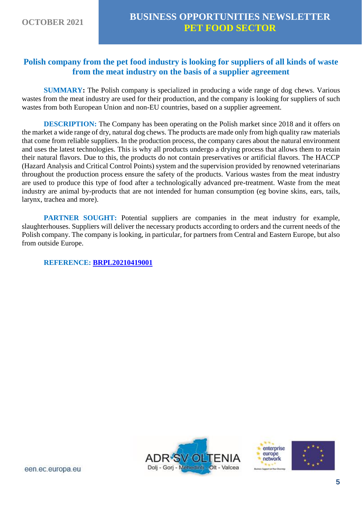#### **Polish company from the pet food industry is looking for suppliers of all kinds of waste from the meat industry on the basis of a supplier agreement**

**SUMMARY:** The Polish company is specialized in producing a wide range of dog chews. Various wastes from the meat industry are used for their production, and the company is looking for suppliers of such wastes from both European Union and non-EU countries, based on a supplier agreement.

**DESCRIPTION:** The Company has been operating on the Polish market since 2018 and it offers on the market a wide range of dry, natural dog chews. The products are made only from high quality raw materials that come from reliable suppliers. In the production process, the company cares about the natural environment and uses the latest technologies. This is why all products undergo a drying process that allows them to retain their natural flavors. Due to this, the products do not contain preservatives or artificial flavors. The HACCP (Hazard Analysis and Critical Control Points) system and the supervision provided by renowned veterinarians throughout the production process ensure the safety of the products. Various wastes from the meat industry are used to produce this type of food after a technologically advanced pre-treatment. Waste from the meat industry are animal by-products that are not intended for human consumption (eg bovine skins, ears, tails, larynx, trachea and more).

**PARTNER SOUGHT:** Potential suppliers are companies in the meat industry for example, slaughterhouses. Suppliers will deliver the necessary products according to orders and the current needs of the Polish company. The company is looking, in particular, for partners from Central and Eastern Europe, but also from outside Europe.

**REFERENCE: [BRPL20210419001](https://een.ec.europa.eu/tools/services/PRO/Profile/Detail/50fb0a28-7e9b-4b83-88cb-c2aee814a7bc)**



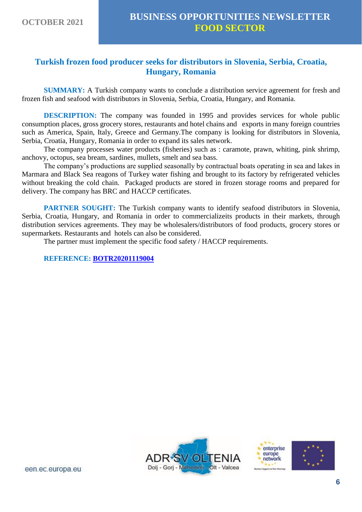#### **Turkish frozen food producer seeks for distributors in Slovenia, Serbia, Croatia, Hungary, Romania**

**SUMMARY:** A Turkish company wants to conclude a distribution service agreement for fresh and frozen fish and seafood with distributors in Slovenia, Serbia, Croatia, Hungary, and Romania.

**DESCRIPTION:** The company was founded in 1995 and provides services for whole public consumption places, gross grocery stores, restaurants and hotel chains and exports in many foreign countries such as America, Spain, Italy, Greece and Germany.The company is looking for distributors in Slovenia, Serbia, Croatia, Hungary, Romania in order to expand its sales network.

The company processes water products (fisheries) such as : caramote, prawn, whiting, pink shrimp, anchovy, octopus, sea bream, sardines, mullets, smelt and sea bass.

The company's productions are supplied seasonally by contractual boats operating in sea and lakes in Marmara and Black Sea reagons of Turkey water fishing and brought to its factory by refrigerated vehicles without breaking the cold chain. Packaged products are stored in frozen storage rooms and prepared for delivery. The company has BRC and HACCP certificates.

**PARTNER SOUGHT:** The Turkish company wants to identify seafood distributors in Slovenia, Serbia, Croatia, Hungary, and Romania in order to commercializeits products in their markets, through distribution services agreements. They may be wholesalers/distributors of food products, grocery stores or supermarkets. Restaurants and hotels can also be considered.

The partner must implement the specific food safety / HACCP requirements.

**REFERENCE: [BOTR20201119004](https://een.ec.europa.eu/tools/services/PRO/Profile/Detail/e05d198e-63fb-4b11-bbf4-a02a1618f041)**





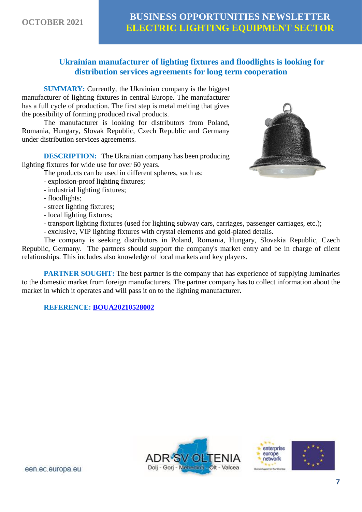#### **Ukrainian manufacturer of lighting fixtures and floodlights is looking for distribution services agreements for long term cooperation**

**SUMMARY:** Currently, the Ukrainian company is the biggest manufacturer of lighting fixtures in central Europe. The manufacturer has a full cycle of production. The first step is metal melting that gives the possibility of forming produced rival products.

The manufacturer is looking for distributors from Poland, Romania, Hungary, Slovak Republic, Czech Republic and Germany under distribution services agreements.

**DESCRIPTION:** The Ukrainian company has been producing lighting fixtures for wide use for over 60 years.

The products can be used in different spheres, such as:

- explosion-proof lighting fixtures;
- industrial lighting fixtures;
- floodlights;
- street lighting fixtures;
- local lighting fixtures;
- transport lighting fixtures (used for lighting subway cars, carriages, passenger carriages, etc.);
- exclusive, VIP lighting fixtures with crystal elements and gold-plated details.

The company is seeking distributors in Poland, Romania, Hungary, Slovakia Republic, Czech Republic, Germany. The partners should support the company's market entry and be in charge of client relationships. This includes also knowledge of local markets and key players.

**PARTNER SOUGHT:** The best partner is the company that has experience of supplying luminaries to the domestic market from foreign manufacturers. The partner company has to collect information about the market in which it operates and will pass it on to the lighting manufacturer**.**

**REFERENCE: [BOUA20210528002](https://een.ec.europa.eu/tools/services/PRO/Profile/Detail/fd0ac177-e711-4a56-b93c-31e4b08e3402)**